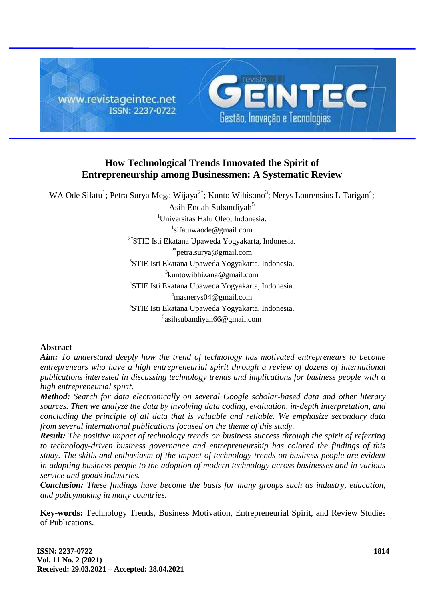

# **How Technological Trends Innovated the Spirit of Entrepreneurship among Businessmen: A Systematic Review**

WA Ode Sifatu<sup>1</sup>; Petra Surya Mega Wijaya<sup>2\*</sup>; Kunto Wibisono<sup>3</sup>; Nerys Lourensius L Tarigan<sup>4</sup>; Asih Endah Subandiyah<sup>5</sup> <sup>1</sup>Universitas Halu Oleo, Indonesia. <sup>1</sup>sifatuwaode@gmail.com 2\*STIE Isti Ekatana Upaweda Yogyakarta, Indonesia.  $2*$ petra.surya@gmail.com <sup>3</sup>STIE Isti Ekatana Upaweda Yogyakarta, Indonesia. <sup>3</sup>kuntowibhizana@gmail.com 4 STIE Isti Ekatana Upaweda Yogyakarta, Indonesia.  $4$ masnerys04@gmail.com 5 STIE Isti Ekatana Upaweda Yogyakarta, Indonesia. <sup>5</sup>asihsubandiyah66@gmail.com

# **Abstract**

*Aim: To understand deeply how the trend of technology has motivated entrepreneurs to become entrepreneurs who have a high entrepreneurial spirit through a review of dozens of international publications interested in discussing technology trends and implications for business people with a high entrepreneurial spirit.*

*Method: Search for data electronically on several Google scholar-based data and other literary sources. Then we analyze the data by involving data coding, evaluation, in-depth interpretation, and concluding the principle of all data that is valuable and reliable. We emphasize secondary data from several international publications focused on the theme of this study.*

*Result: The positive impact of technology trends on business success through the spirit of referring to technology-driven business governance and entrepreneurship has colored the findings of this study. The skills and enthusiasm of the impact of technology trends on business people are evident in adapting business people to the adoption of modern technology across businesses and in various service and goods industries.*

*Conclusion: These findings have become the basis for many groups such as industry, education, and policymaking in many countries.*

**Key-words:** Technology Trends, Business Motivation, Entrepreneurial Spirit, and Review Studies of Publications.

**ISSN: 2237-0722 Vol. 11 No. 2 (2021) Received: 29.03.2021 – Accepted: 28.04.2021**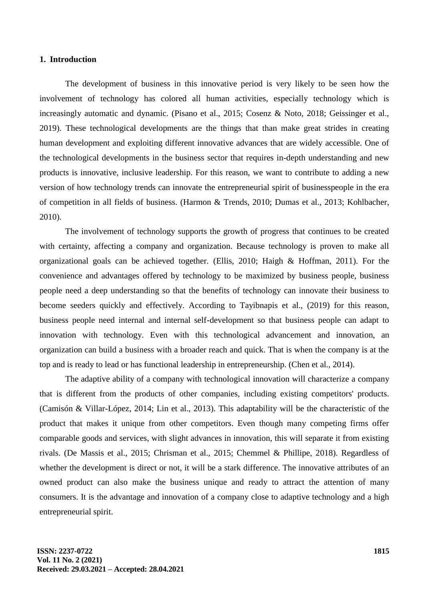#### **1. Introduction**

The development of business in this innovative period is very likely to be seen how the involvement of technology has colored all human activities, especially technology which is increasingly automatic and dynamic. (Pisano et al., 2015; Cosenz & Noto, 2018; Geissinger et al., 2019). These technological developments are the things that than make great strides in creating human development and exploiting different innovative advances that are widely accessible. One of the technological developments in the business sector that requires in-depth understanding and new products is innovative, inclusive leadership. For this reason, we want to contribute to adding a new version of how technology trends can innovate the entrepreneurial spirit of businesspeople in the era of competition in all fields of business. (Harmon & Trends, 2010; Dumas et al., 2013; Kohlbacher, 2010).

The involvement of technology supports the growth of progress that continues to be created with certainty, affecting a company and organization. Because technology is proven to make all organizational goals can be achieved together. (Ellis, 2010; Haigh & Hoffman, 2011). For the convenience and advantages offered by technology to be maximized by business people, business people need a deep understanding so that the benefits of technology can innovate their business to become seeders quickly and effectively. According to Tayibnapis et al., (2019) for this reason, business people need internal and internal self-development so that business people can adapt to innovation with technology. Even with this technological advancement and innovation, an organization can build a business with a broader reach and quick. That is when the company is at the top and is ready to lead or has functional leadership in entrepreneurship. (Chen et al., 2014).

The adaptive ability of a company with technological innovation will characterize a company that is different from the products of other companies, including existing competitors' products. (Camisón & Villar-López, 2014; Lin et al., 2013). This adaptability will be the characteristic of the product that makes it unique from other competitors. Even though many competing firms offer comparable goods and services, with slight advances in innovation, this will separate it from existing rivals. (De Massis et al., 2015; Chrisman et al., 2015; Chemmel & Phillipe, 2018). Regardless of whether the development is direct or not, it will be a stark difference. The innovative attributes of an owned product can also make the business unique and ready to attract the attention of many consumers. It is the advantage and innovation of a company close to adaptive technology and a high entrepreneurial spirit.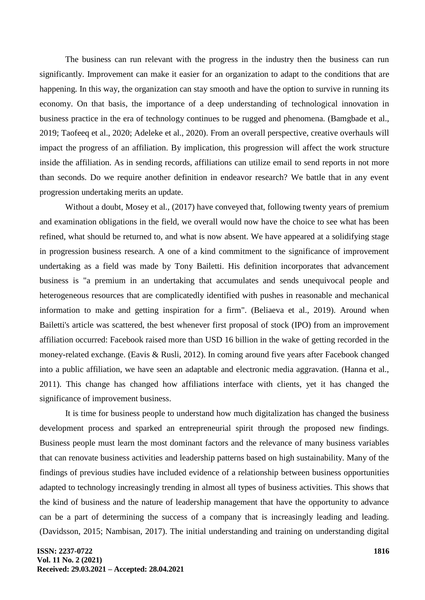The business can run relevant with the progress in the industry then the business can run significantly. Improvement can make it easier for an organization to adapt to the conditions that are happening. In this way, the organization can stay smooth and have the option to survive in running its economy. On that basis, the importance of a deep understanding of technological innovation in business practice in the era of technology continues to be rugged and phenomena. (Bamgbade et al., 2019; Taofeeq et al., 2020; Adeleke et al., 2020). From an overall perspective, creative overhauls will impact the progress of an affiliation. By implication, this progression will affect the work structure inside the affiliation. As in sending records, affiliations can utilize email to send reports in not more than seconds. Do we require another definition in endeavor research? We battle that in any event progression undertaking merits an update.

Without a doubt, Mosey et al., (2017) have conveyed that, following twenty years of premium and examination obligations in the field, we overall would now have the choice to see what has been refined, what should be returned to, and what is now absent. We have appeared at a solidifying stage in progression business research. A one of a kind commitment to the significance of improvement undertaking as a field was made by Tony Bailetti. His definition incorporates that advancement business is "a premium in an undertaking that accumulates and sends unequivocal people and heterogeneous resources that are complicatedly identified with pushes in reasonable and mechanical information to make and getting inspiration for a firm". (Beliaeva et al., 2019). Around when Bailetti's article was scattered, the best whenever first proposal of stock (IPO) from an improvement affiliation occurred: Facebook raised more than USD 16 billion in the wake of getting recorded in the money-related exchange. (Eavis & Rusli, 2012). In coming around five years after Facebook changed into a public affiliation, we have seen an adaptable and electronic media aggravation. (Hanna et al., 2011). This change has changed how affiliations interface with clients, yet it has changed the significance of improvement business.

It is time for business people to understand how much digitalization has changed the business development process and sparked an entrepreneurial spirit through the proposed new findings. Business people must learn the most dominant factors and the relevance of many business variables that can renovate business activities and leadership patterns based on high sustainability. Many of the findings of previous studies have included evidence of a relationship between business opportunities adapted to technology increasingly trending in almost all types of business activities. This shows that the kind of business and the nature of leadership management that have the opportunity to advance can be a part of determining the success of a company that is increasingly leading and leading. (Davidsson, 2015; Nambisan, 2017). The initial understanding and training on understanding digital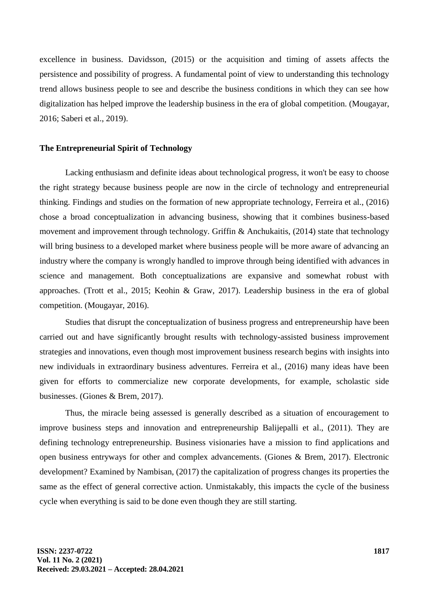excellence in business. Davidsson, (2015) or the acquisition and timing of assets affects the persistence and possibility of progress. A fundamental point of view to understanding this technology trend allows business people to see and describe the business conditions in which they can see how digitalization has helped improve the leadership business in the era of global competition. (Mougayar, 2016; Saberi et al., 2019).

# **The Entrepreneurial Spirit of Technology**

Lacking enthusiasm and definite ideas about technological progress, it won't be easy to choose the right strategy because business people are now in the circle of technology and entrepreneurial thinking. Findings and studies on the formation of new appropriate technology, Ferreira et al., (2016) chose a broad conceptualization in advancing business, showing that it combines business-based movement and improvement through technology. Griffin & Anchukaitis, (2014) state that technology will bring business to a developed market where business people will be more aware of advancing an industry where the company is wrongly handled to improve through being identified with advances in science and management. Both conceptualizations are expansive and somewhat robust with approaches. (Trott et al., 2015; Keohin & Graw, 2017). Leadership business in the era of global competition. (Mougayar, 2016).

Studies that disrupt the conceptualization of business progress and entrepreneurship have been carried out and have significantly brought results with technology-assisted business improvement strategies and innovations, even though most improvement business research begins with insights into new individuals in extraordinary business adventures. Ferreira et al., (2016) many ideas have been given for efforts to commercialize new corporate developments, for example, scholastic side businesses. (Giones & Brem, 2017).

Thus, the miracle being assessed is generally described as a situation of encouragement to improve business steps and innovation and entrepreneurship Balijepalli et al., (2011). They are defining technology entrepreneurship. Business visionaries have a mission to find applications and open business entryways for other and complex advancements. (Giones & Brem, 2017). Electronic development? Examined by Nambisan, (2017) the capitalization of progress changes its properties the same as the effect of general corrective action. Unmistakably, this impacts the cycle of the business cycle when everything is said to be done even though they are still starting.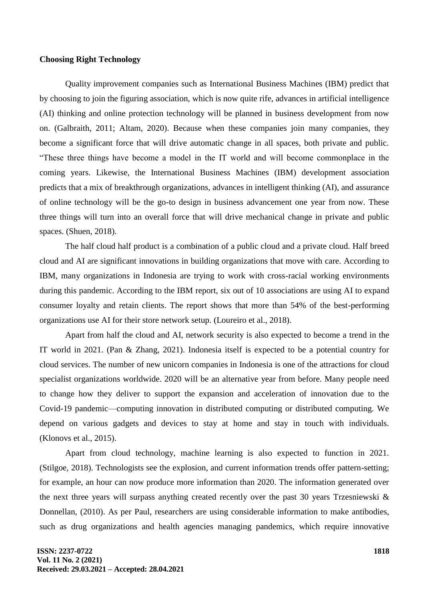#### **Choosing Right Technology**

Quality improvement companies such as International Business Machines (IBM) predict that by choosing to join the figuring association, which is now quite rife, advances in artificial intelligence (AI) thinking and online protection technology will be planned in business development from now on. (Galbraith, 2011; Altam, 2020). Because when these companies join many companies, they become a significant force that will drive automatic change in all spaces, both private and public. ―These three things have become a model in the IT world and will become commonplace in the coming years. Likewise, the International Business Machines (IBM) development association predicts that a mix of breakthrough organizations, advances in intelligent thinking (AI), and assurance of online technology will be the go-to design in business advancement one year from now. These three things will turn into an overall force that will drive mechanical change in private and public spaces. (Shuen, 2018).

The half cloud half product is a combination of a public cloud and a private cloud. Half breed cloud and AI are significant innovations in building organizations that move with care. According to IBM, many organizations in Indonesia are trying to work with cross-racial working environments during this pandemic. According to the IBM report, six out of 10 associations are using AI to expand consumer loyalty and retain clients. The report shows that more than 54% of the best-performing organizations use AI for their store network setup. (Loureiro et al., 2018).

Apart from half the cloud and AI, network security is also expected to become a trend in the IT world in 2021. (Pan & Zhang, 2021). Indonesia itself is expected to be a potential country for cloud services. The number of new unicorn companies in Indonesia is one of the attractions for cloud specialist organizations worldwide. 2020 will be an alternative year from before. Many people need to change how they deliver to support the expansion and acceleration of innovation due to the Covid-19 pandemic—computing innovation in distributed computing or distributed computing. We depend on various gadgets and devices to stay at home and stay in touch with individuals. (Klonovs et al., 2015).

Apart from cloud technology, machine learning is also expected to function in 2021. (Stilgoe, 2018). Technologists see the explosion, and current information trends offer pattern-setting; for example, an hour can now produce more information than 2020. The information generated over the next three years will surpass anything created recently over the past 30 years Trzesniewski & Donnellan, (2010). As per Paul, researchers are using considerable information to make antibodies, such as drug organizations and health agencies managing pandemics, which require innovative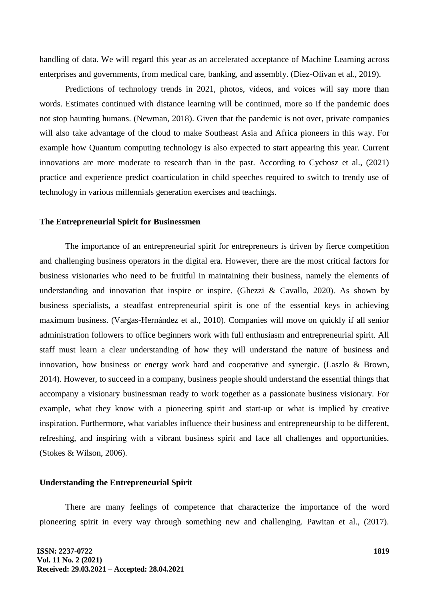handling of data. We will regard this year as an accelerated acceptance of Machine Learning across enterprises and governments, from medical care, banking, and assembly. (Diez-Olivan et al., 2019).

Predictions of technology trends in 2021, photos, videos, and voices will say more than words. Estimates continued with distance learning will be continued, more so if the pandemic does not stop haunting humans. (Newman, 2018). Given that the pandemic is not over, private companies will also take advantage of the cloud to make Southeast Asia and Africa pioneers in this way. For example how Quantum computing technology is also expected to start appearing this year. Current innovations are more moderate to research than in the past. According to Cychosz et al., (2021) practice and experience predict coarticulation in child speeches required to switch to trendy use of technology in various millennials generation exercises and teachings.

#### **The Entrepreneurial Spirit for Businessmen**

The importance of an entrepreneurial spirit for entrepreneurs is driven by fierce competition and challenging business operators in the digital era. However, there are the most critical factors for business visionaries who need to be fruitful in maintaining their business, namely the elements of understanding and innovation that inspire or inspire. (Ghezzi  $&$  Cavallo, 2020). As shown by business specialists, a steadfast entrepreneurial spirit is one of the essential keys in achieving maximum business. (Vargas-Hernández et al., 2010). Companies will move on quickly if all senior administration followers to office beginners work with full enthusiasm and entrepreneurial spirit. All staff must learn a clear understanding of how they will understand the nature of business and innovation, how business or energy work hard and cooperative and synergic. (Laszlo & Brown, 2014). However, to succeed in a company, business people should understand the essential things that accompany a visionary businessman ready to work together as a passionate business visionary. For example, what they know with a pioneering spirit and start-up or what is implied by creative inspiration. Furthermore, what variables influence their business and entrepreneurship to be different, refreshing, and inspiring with a vibrant business spirit and face all challenges and opportunities. (Stokes & Wilson, 2006).

## **Understanding the Entrepreneurial Spirit**

There are many feelings of competence that characterize the importance of the word pioneering spirit in every way through something new and challenging. Pawitan et al., (2017).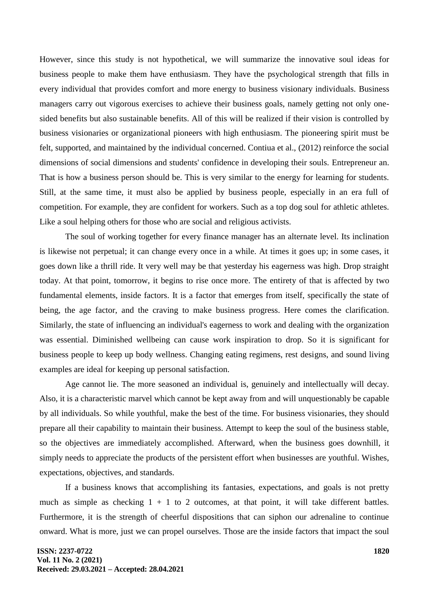However, since this study is not hypothetical, we will summarize the innovative soul ideas for business people to make them have enthusiasm. They have the psychological strength that fills in every individual that provides comfort and more energy to business visionary individuals. Business managers carry out vigorous exercises to achieve their business goals, namely getting not only onesided benefits but also sustainable benefits. All of this will be realized if their vision is controlled by business visionaries or organizational pioneers with high enthusiasm. The pioneering spirit must be felt, supported, and maintained by the individual concerned. Contiua et al., (2012) reinforce the social dimensions of social dimensions and students' confidence in developing their souls. Entrepreneur an. That is how a business person should be. This is very similar to the energy for learning for students. Still, at the same time, it must also be applied by business people, especially in an era full of competition. For example, they are confident for workers. Such as a top dog soul for athletic athletes. Like a soul helping others for those who are social and religious activists.

The soul of working together for every finance manager has an alternate level. Its inclination is likewise not perpetual; it can change every once in a while. At times it goes up; in some cases, it goes down like a thrill ride. It very well may be that yesterday his eagerness was high. Drop straight today. At that point, tomorrow, it begins to rise once more. The entirety of that is affected by two fundamental elements, inside factors. It is a factor that emerges from itself, specifically the state of being, the age factor, and the craving to make business progress. Here comes the clarification. Similarly, the state of influencing an individual's eagerness to work and dealing with the organization was essential. Diminished wellbeing can cause work inspiration to drop. So it is significant for business people to keep up body wellness. Changing eating regimens, rest designs, and sound living examples are ideal for keeping up personal satisfaction.

Age cannot lie. The more seasoned an individual is, genuinely and intellectually will decay. Also, it is a characteristic marvel which cannot be kept away from and will unquestionably be capable by all individuals. So while youthful, make the best of the time. For business visionaries, they should prepare all their capability to maintain their business. Attempt to keep the soul of the business stable, so the objectives are immediately accomplished. Afterward, when the business goes downhill, it simply needs to appreciate the products of the persistent effort when businesses are youthful. Wishes, expectations, objectives, and standards.

If a business knows that accomplishing its fantasies, expectations, and goals is not pretty much as simple as checking  $1 + 1$  to 2 outcomes, at that point, it will take different battles. Furthermore, it is the strength of cheerful dispositions that can siphon our adrenaline to continue onward. What is more, just we can propel ourselves. Those are the inside factors that impact the soul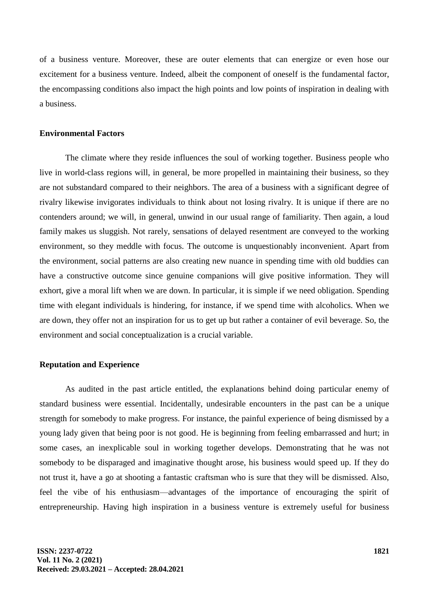of a business venture. Moreover, these are outer elements that can energize or even hose our excitement for a business venture. Indeed, albeit the component of oneself is the fundamental factor, the encompassing conditions also impact the high points and low points of inspiration in dealing with a business.

#### **Environmental Factors**

The climate where they reside influences the soul of working together. Business people who live in world-class regions will, in general, be more propelled in maintaining their business, so they are not substandard compared to their neighbors. The area of a business with a significant degree of rivalry likewise invigorates individuals to think about not losing rivalry. It is unique if there are no contenders around; we will, in general, unwind in our usual range of familiarity. Then again, a loud family makes us sluggish. Not rarely, sensations of delayed resentment are conveyed to the working environment, so they meddle with focus. The outcome is unquestionably inconvenient. Apart from the environment, social patterns are also creating new nuance in spending time with old buddies can have a constructive outcome since genuine companions will give positive information. They will exhort, give a moral lift when we are down. In particular, it is simple if we need obligation. Spending time with elegant individuals is hindering, for instance, if we spend time with alcoholics. When we are down, they offer not an inspiration for us to get up but rather a container of evil beverage. So, the environment and social conceptualization is a crucial variable.

## **Reputation and Experience**

As audited in the past article entitled, the explanations behind doing particular enemy of standard business were essential. Incidentally, undesirable encounters in the past can be a unique strength for somebody to make progress. For instance, the painful experience of being dismissed by a young lady given that being poor is not good. He is beginning from feeling embarrassed and hurt; in some cases, an inexplicable soul in working together develops. Demonstrating that he was not somebody to be disparaged and imaginative thought arose, his business would speed up. If they do not trust it, have a go at shooting a fantastic craftsman who is sure that they will be dismissed. Also, feel the vibe of his enthusiasm—advantages of the importance of encouraging the spirit of entrepreneurship. Having high inspiration in a business venture is extremely useful for business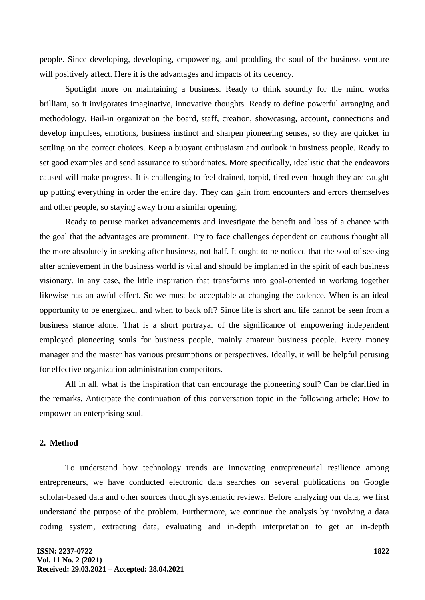people. Since developing, developing, empowering, and prodding the soul of the business venture will positively affect. Here it is the advantages and impacts of its decency.

Spotlight more on maintaining a business. Ready to think soundly for the mind works brilliant, so it invigorates imaginative, innovative thoughts. Ready to define powerful arranging and methodology. Bail-in organization the board, staff, creation, showcasing, account, connections and develop impulses, emotions, business instinct and sharpen pioneering senses, so they are quicker in settling on the correct choices. Keep a buoyant enthusiasm and outlook in business people. Ready to set good examples and send assurance to subordinates. More specifically, idealistic that the endeavors caused will make progress. It is challenging to feel drained, torpid, tired even though they are caught up putting everything in order the entire day. They can gain from encounters and errors themselves and other people, so staying away from a similar opening.

Ready to peruse market advancements and investigate the benefit and loss of a chance with the goal that the advantages are prominent. Try to face challenges dependent on cautious thought all the more absolutely in seeking after business, not half. It ought to be noticed that the soul of seeking after achievement in the business world is vital and should be implanted in the spirit of each business visionary. In any case, the little inspiration that transforms into goal-oriented in working together likewise has an awful effect. So we must be acceptable at changing the cadence. When is an ideal opportunity to be energized, and when to back off? Since life is short and life cannot be seen from a business stance alone. That is a short portrayal of the significance of empowering independent employed pioneering souls for business people, mainly amateur business people. Every money manager and the master has various presumptions or perspectives. Ideally, it will be helpful perusing for effective organization administration competitors.

All in all, what is the inspiration that can encourage the pioneering soul? Can be clarified in the remarks. Anticipate the continuation of this conversation topic in the following article: How to empower an enterprising soul.

# **2. Method**

To understand how technology trends are innovating entrepreneurial resilience among entrepreneurs, we have conducted electronic data searches on several publications on Google scholar-based data and other sources through systematic reviews. Before analyzing our data, we first understand the purpose of the problem. Furthermore, we continue the analysis by involving a data coding system, extracting data, evaluating and in-depth interpretation to get an in-depth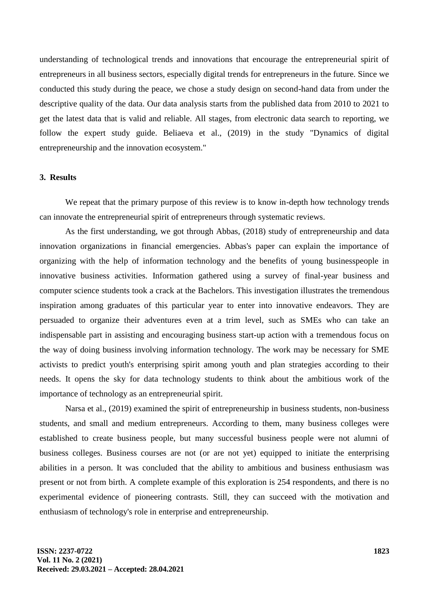understanding of technological trends and innovations that encourage the entrepreneurial spirit of entrepreneurs in all business sectors, especially digital trends for entrepreneurs in the future. Since we conducted this study during the peace, we chose a study design on second-hand data from under the descriptive quality of the data. Our data analysis starts from the published data from 2010 to 2021 to get the latest data that is valid and reliable. All stages, from electronic data search to reporting, we follow the expert study guide. Beliaeva et al., (2019) in the study "Dynamics of digital entrepreneurship and the innovation ecosystem."

# **3. Results**

We repeat that the primary purpose of this review is to know in-depth how technology trends can innovate the entrepreneurial spirit of entrepreneurs through systematic reviews.

As the first understanding, we got through Abbas, (2018) study of entrepreneurship and data innovation organizations in financial emergencies. Abbas's paper can explain the importance of organizing with the help of information technology and the benefits of young businesspeople in innovative business activities. Information gathered using a survey of final-year business and computer science students took a crack at the Bachelors. This investigation illustrates the tremendous inspiration among graduates of this particular year to enter into innovative endeavors. They are persuaded to organize their adventures even at a trim level, such as SMEs who can take an indispensable part in assisting and encouraging business start-up action with a tremendous focus on the way of doing business involving information technology. The work may be necessary for SME activists to predict youth's enterprising spirit among youth and plan strategies according to their needs. It opens the sky for data technology students to think about the ambitious work of the importance of technology as an entrepreneurial spirit.

Narsa et al., (2019) examined the spirit of entrepreneurship in business students, non-business students, and small and medium entrepreneurs. According to them, many business colleges were established to create business people, but many successful business people were not alumni of business colleges. Business courses are not (or are not yet) equipped to initiate the enterprising abilities in a person. It was concluded that the ability to ambitious and business enthusiasm was present or not from birth. A complete example of this exploration is 254 respondents, and there is no experimental evidence of pioneering contrasts. Still, they can succeed with the motivation and enthusiasm of technology's role in enterprise and entrepreneurship.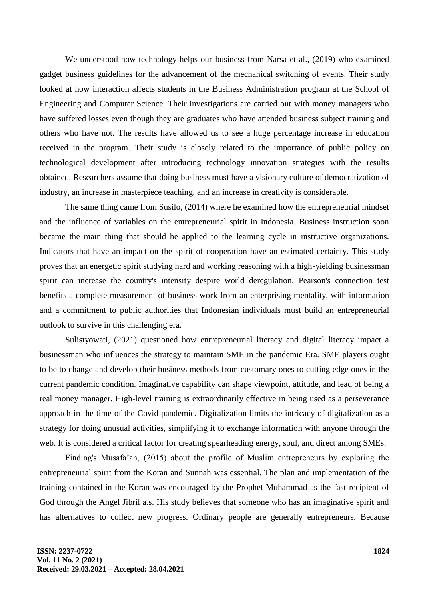We understood how technology helps our business from Narsa et al., (2019) who examined gadget business guidelines for the advancement of the mechanical switching of events. Their study looked at how interaction affects students in the Business Administration program at the School of Engineering and Computer Science. Their investigations are carried out with money managers who have suffered losses even though they are graduates who have attended business subject training and others who have not. The results have allowed us to see a huge percentage increase in education received in the program. Their study is closely related to the importance of public policy on technological development after introducing technology innovation strategies with the results obtained. Researchers assume that doing business must have a visionary culture of democratization of industry, an increase in masterpiece teaching, and an increase in creativity is considerable.

The same thing came from Susilo, (2014) where he examined how the entrepreneurial mindset and the influence of variables on the entrepreneurial spirit in Indonesia. Business instruction soon became the main thing that should be applied to the learning cycle in instructive organizations. Indicators that have an impact on the spirit of cooperation have an estimated certainty. This study proves that an energetic spirit studying hard and working reasoning with a high-yielding businessman spirit can increase the country's intensity despite world deregulation. Pearson's connection test benefits a complete measurement of business work from an enterprising mentality, with information and a commitment to public authorities that Indonesian individuals must build an entrepreneurial outlook to survive in this challenging era.

Sulistyowati, (2021) questioned how entrepreneurial literacy and digital literacy impact a businessman who influences the strategy to maintain SME in the pandemic Era. SME players ought to be to change and develop their business methods from customary ones to cutting edge ones in the current pandemic condition. Imaginative capability can shape viewpoint, attitude, and lead of being a real money manager. High-level training is extraordinarily effective in being used as a perseverance approach in the time of the Covid pandemic. Digitalization limits the intricacy of digitalization as a strategy for doing unusual activities, simplifying it to exchange information with anyone through the web. It is considered a critical factor for creating spearheading energy, soul, and direct among SMEs.

Finding's Musafa'ah, (2015) about the profile of Muslim entrepreneurs by exploring the entrepreneurial spirit from the Koran and Sunnah was essential. The plan and implementation of the training contained in the Koran was encouraged by the Prophet Muhammad as the fast recipient of God through the Angel Jibril a.s. His study believes that someone who has an imaginative spirit and has alternatives to collect new progress. Ordinary people are generally entrepreneurs. Because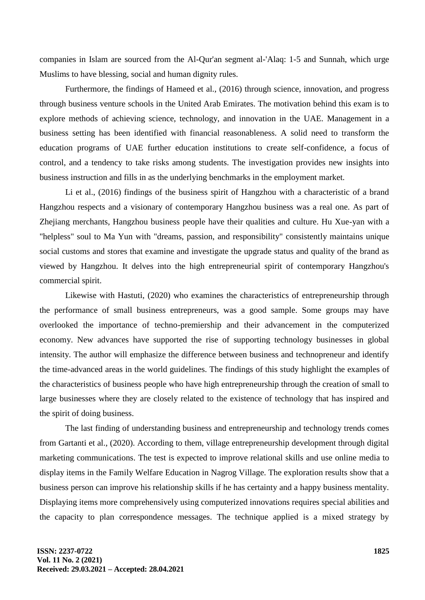companies in Islam are sourced from the Al-Qur'an segment al-'Alaq: 1-5 and Sunnah, which urge Muslims to have blessing, social and human dignity rules.

Furthermore, the findings of Hameed et al., (2016) through science, innovation, and progress through business venture schools in the United Arab Emirates. The motivation behind this exam is to explore methods of achieving science, technology, and innovation in the UAE. Management in a business setting has been identified with financial reasonableness. A solid need to transform the education programs of UAE further education institutions to create self-confidence, a focus of control, and a tendency to take risks among students. The investigation provides new insights into business instruction and fills in as the underlying benchmarks in the employment market.

Li et al., (2016) findings of the business spirit of Hangzhou with a characteristic of a brand Hangzhou respects and a visionary of contemporary Hangzhou business was a real one. As part of Zhejiang merchants, Hangzhou business people have their qualities and culture. Hu Xue-yan with a "helpless" soul to Ma Yun with "dreams, passion, and responsibility" consistently maintains unique social customs and stores that examine and investigate the upgrade status and quality of the brand as viewed by Hangzhou. It delves into the high entrepreneurial spirit of contemporary Hangzhou's commercial spirit.

Likewise with Hastuti, (2020) who examines the characteristics of entrepreneurship through the performance of small business entrepreneurs, was a good sample. Some groups may have overlooked the importance of techno-premiership and their advancement in the computerized economy. New advances have supported the rise of supporting technology businesses in global intensity. The author will emphasize the difference between business and technopreneur and identify the time-advanced areas in the world guidelines. The findings of this study highlight the examples of the characteristics of business people who have high entrepreneurship through the creation of small to large businesses where they are closely related to the existence of technology that has inspired and the spirit of doing business.

The last finding of understanding business and entrepreneurship and technology trends comes from Gartanti et al., (2020). According to them, village entrepreneurship development through digital marketing communications. The test is expected to improve relational skills and use online media to display items in the Family Welfare Education in Nagrog Village. The exploration results show that a business person can improve his relationship skills if he has certainty and a happy business mentality. Displaying items more comprehensively using computerized innovations requires special abilities and the capacity to plan correspondence messages. The technique applied is a mixed strategy by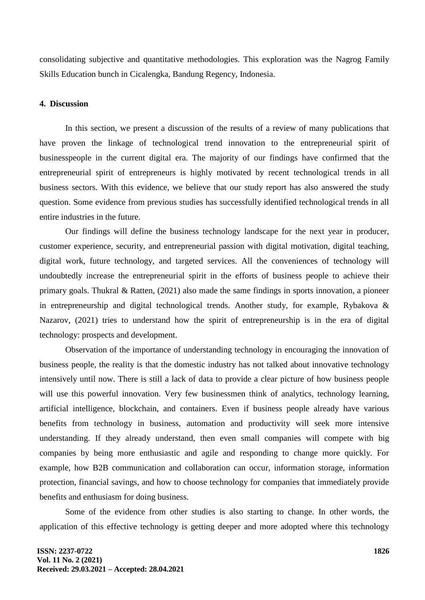consolidating subjective and quantitative methodologies. This exploration was the Nagrog Family Skills Education bunch in Cicalengka, Bandung Regency, Indonesia.

#### **4. Discussion**

In this section, we present a discussion of the results of a review of many publications that have proven the linkage of technological trend innovation to the entrepreneurial spirit of businesspeople in the current digital era. The majority of our findings have confirmed that the entrepreneurial spirit of entrepreneurs is highly motivated by recent technological trends in all business sectors. With this evidence, we believe that our study report has also answered the study question. Some evidence from previous studies has successfully identified technological trends in all entire industries in the future.

Our findings will define the business technology landscape for the next year in producer, customer experience, security, and entrepreneurial passion with digital motivation, digital teaching, digital work, future technology, and targeted services. All the conveniences of technology will undoubtedly increase the entrepreneurial spirit in the efforts of business people to achieve their primary goals. Thukral & Ratten, (2021) also made the same findings in sports innovation, a pioneer in entrepreneurship and digital technological trends. Another study, for example, Rybakova & Nazarov, (2021) tries to understand how the spirit of entrepreneurship is in the era of digital technology: prospects and development.

Observation of the importance of understanding technology in encouraging the innovation of business people, the reality is that the domestic industry has not talked about innovative technology intensively until now. There is still a lack of data to provide a clear picture of how business people will use this powerful innovation. Very few businessmen think of analytics, technology learning, artificial intelligence, blockchain, and containers. Even if business people already have various benefits from technology in business, automation and productivity will seek more intensive understanding. If they already understand, then even small companies will compete with big companies by being more enthusiastic and agile and responding to change more quickly. For example, how B2B communication and collaboration can occur, information storage, information protection, financial savings, and how to choose technology for companies that immediately provide benefits and enthusiasm for doing business.

Some of the evidence from other studies is also starting to change. In other words, the application of this effective technology is getting deeper and more adopted where this technology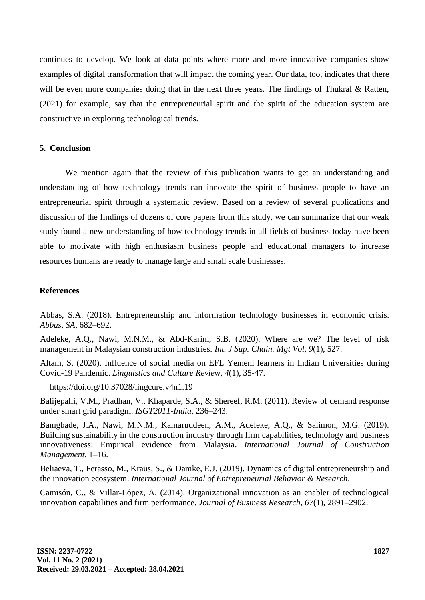continues to develop. We look at data points where more and more innovative companies show examples of digital transformation that will impact the coming year. Our data, too, indicates that there will be even more companies doing that in the next three years. The findings of Thukral & Ratten, (2021) for example, say that the entrepreneurial spirit and the spirit of the education system are constructive in exploring technological trends.

# **5. Conclusion**

We mention again that the review of this publication wants to get an understanding and understanding of how technology trends can innovate the spirit of business people to have an entrepreneurial spirit through a systematic review. Based on a review of several publications and discussion of the findings of dozens of core papers from this study, we can summarize that our weak study found a new understanding of how technology trends in all fields of business today have been able to motivate with high enthusiasm business people and educational managers to increase resources humans are ready to manage large and small scale businesses.

### **References**

Abbas, S.A. (2018). Entrepreneurship and information technology businesses in economic crisis. *Abbas, SA*, 682–692.

Adeleke, A.Q., Nawi, M.N.M., & Abd-Karim, S.B. (2020). Where are we? The level of risk management in Malaysian construction industries. *Int. J Sup. Chain. Mgt Vol*, *9*(1), 527.

Altam, S. (2020). Influence of social media on EFL Yemeni learners in Indian Universities during Covid-19 Pandemic. *Linguistics and Culture Review*, *4*(1), 35-47.

https://doi.org/10.37028/lingcure.v4n1.19

Balijepalli, V.M., Pradhan, V., Khaparde, S.A., & Shereef, R.M. (2011). Review of demand response under smart grid paradigm. *ISGT2011-India*, 236–243.

Bamgbade, J.A., Nawi, M.N.M., Kamaruddeen, A.M., Adeleke, A.Q., & Salimon, M.G. (2019). Building sustainability in the construction industry through firm capabilities, technology and business innovativeness: Empirical evidence from Malaysia. *International Journal of Construction Management*, 1–16.

Beliaeva, T., Ferasso, M., Kraus, S., & Damke, E.J. (2019). Dynamics of digital entrepreneurship and the innovation ecosystem. *International Journal of Entrepreneurial Behavior & Research*.

Camisón, C., & Villar-López, A. (2014). Organizational innovation as an enabler of technological innovation capabilities and firm performance. *Journal of Business Research*, *67*(1), 2891–2902.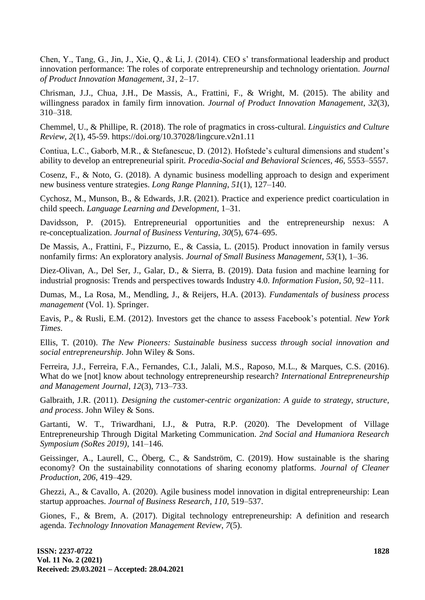Chen, Y., Tang, G., Jin, J., Xie, Q., & Li, J. (2014). CEO s' transformational leadership and product innovation performance: The roles of corporate entrepreneurship and technology orientation. *Journal of Product Innovation Management*, *31*, 2–17.

Chrisman, J.J., Chua, J.H., De Massis, A., Frattini, F., & Wright, M. (2015). The ability and willingness paradox in family firm innovation. *Journal of Product Innovation Management*, *32*(3), 310–318.

Chemmel, U., & Phillipe, R. (2018). The role of pragmatics in cross-cultural. *Linguistics and Culture Review*, *2*(1), 45-59. https://doi.org/10.37028/lingcure.v2n1.11

Contiua, L.C., Gaborb, M.R., & Stefanescuc, D. (2012). Hofstede's cultural dimensions and student's ability to develop an entrepreneurial spirit. *Procedia-Social and Behavioral Sciences*, *46*, 5553–5557.

Cosenz, F., & Noto, G. (2018). A dynamic business modelling approach to design and experiment new business venture strategies. *Long Range Planning*, *51*(1), 127–140.

Cychosz, M., Munson, B., & Edwards, J.R. (2021). Practice and experience predict coarticulation in child speech. *Language Learning and Development*, 1–31.

Davidsson, P. (2015). Entrepreneurial opportunities and the entrepreneurship nexus: A re-conceptualization. *Journal of Business Venturing*, *30*(5), 674–695.

De Massis, A., Frattini, F., Pizzurno, E., & Cassia, L. (2015). Product innovation in family versus nonfamily firms: An exploratory analysis. *Journal of Small Business Management*, *53*(1), 1–36.

Diez-Olivan, A., Del Ser, J., Galar, D., & Sierra, B. (2019). Data fusion and machine learning for industrial prognosis: Trends and perspectives towards Industry 4.0. *Information Fusion*, *50*, 92–111.

Dumas, M., La Rosa, M., Mendling, J., & Reijers, H.A. (2013). *Fundamentals of business process management* (Vol. 1). Springer.

Eavis, P., & Rusli, E.M. (2012). Investors get the chance to assess Facebook's potential. *New York Times*.

Ellis, T. (2010). *The New Pioneers: Sustainable business success through social innovation and social entrepreneurship*. John Wiley & Sons.

Ferreira, J.J., Ferreira, F.A., Fernandes, C.I., Jalali, M.S., Raposo, M.L., & Marques, C.S. (2016). What do we [not] know about technology entrepreneurship research? *International Entrepreneurship and Management Journal*, *12*(3), 713–733.

Galbraith, J.R. (2011). *Designing the customer-centric organization: A guide to strategy, structure, and process*. John Wiley & Sons.

Gartanti, W. T., Triwardhani, I.J., & Putra, R.P. (2020). The Development of Village Entrepreneurship Through Digital Marketing Communication. *2nd Social and Humaniora Research Symposium (SoRes 2019)*, 141–146.

Geissinger, A., Laurell, C., Öberg, C., & Sandström, C. (2019). How sustainable is the sharing economy? On the sustainability connotations of sharing economy platforms. *Journal of Cleaner Production*, *206*, 419–429.

Ghezzi, A., & Cavallo, A. (2020). Agile business model innovation in digital entrepreneurship: Lean startup approaches. *Journal of Business Research*, *110*, 519–537.

Giones, F., & Brem, A. (2017). Digital technology entrepreneurship: A definition and research agenda. *Technology Innovation Management Review*, *7*(5).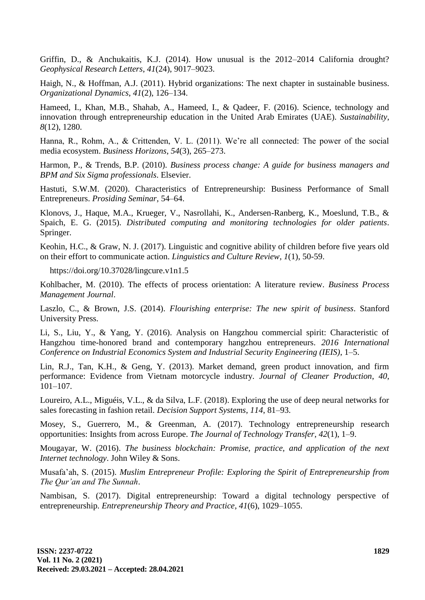Griffin, D., & Anchukaitis, K.J. (2014). How unusual is the 2012–2014 California drought? *Geophysical Research Letters*, *41*(24), 9017–9023.

Haigh, N., & Hoffman, A.J. (2011). Hybrid organizations: The next chapter in sustainable business. *Organizational Dynamics*, *41*(2), 126–134.

Hameed, I., Khan, M.B., Shahab, A., Hameed, I., & Qadeer, F. (2016). Science, technology and innovation through entrepreneurship education in the United Arab Emirates (UAE). *Sustainability*, *8*(12), 1280.

Hanna, R., Rohm, A., & Crittenden, V. L. (2011). We're all connected: The power of the social media ecosystem. *Business Horizons*, *54*(3), 265–273.

Harmon, P., & Trends, B.P. (2010). *Business process change: A guide for business managers and BPM and Six Sigma professionals*. Elsevier.

Hastuti, S.W.M. (2020). Characteristics of Entrepreneurship: Business Performance of Small Entrepreneurs. *Prosiding Seminar*, 54–64.

Klonovs, J., Haque, M.A., Krueger, V., Nasrollahi, K., Andersen-Ranberg, K., Moeslund, T.B., & Spaich, E. G. (2015). *Distributed computing and monitoring technologies for older patients*. Springer.

Keohin, H.C., & Graw, N. J. (2017). Linguistic and cognitive ability of children before five years old on their effort to communicate action. *Linguistics and Culture Review*, *1*(1), 50-59.

https://doi.org/10.37028/lingcure.v1n1.5

Kohlbacher, M. (2010). The effects of process orientation: A literature review. *Business Process Management Journal*.

Laszlo, C., & Brown, J.S. (2014). *Flourishing enterprise: The new spirit of business*. Stanford University Press.

Li, S., Liu, Y., & Yang, Y. (2016). Analysis on Hangzhou commercial spirit: Characteristic of Hangzhou time-honored brand and contemporary hangzhou entrepreneurs. *2016 International Conference on Industrial Economics System and Industrial Security Engineering (IEIS)*, 1–5.

Lin, R.J., Tan, K.H., & Geng, Y. (2013). Market demand, green product innovation, and firm performance: Evidence from Vietnam motorcycle industry. *Journal of Cleaner Production*, *40*, 101–107.

Loureiro, A.L., Miguéis, V.L., & da Silva, L.F. (2018). Exploring the use of deep neural networks for sales forecasting in fashion retail. *Decision Support Systems*, *114*, 81–93.

Mosey, S., Guerrero, M., & Greenman, A. (2017). Technology entrepreneurship research opportunities: Insights from across Europe. *The Journal of Technology Transfer*, *42*(1), 1–9.

Mougayar, W. (2016). *The business blockchain: Promise, practice, and application of the next Internet technology*. John Wiley & Sons.

Musafa'ah, S. (2015). *Muslim Entrepreneur Profile: Exploring the Spirit of Entrepreneurship from The Qur'an and The Sunnah*.

Nambisan, S. (2017). Digital entrepreneurship: Toward a digital technology perspective of entrepreneurship. *Entrepreneurship Theory and Practice*, *41*(6), 1029–1055.